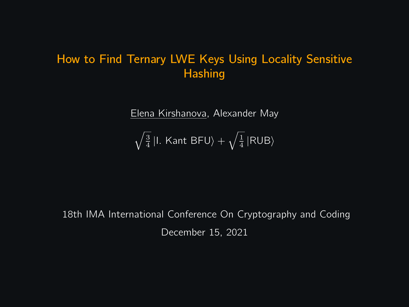# How to Find Ternary LWE Keys Using Locality Sensitive **Hashing**

Elena Kirshanova, Alexander May

$$
\sqrt{\tfrac{3}{4}}\left|I.\right.\mathsf{Kant}\,\mathsf{BFU}\rangle+\sqrt{\tfrac{1}{4}}\left|\mathsf{RUB}\right\rangle
$$

18th IMA International Conference On Cryptography and Coding December 15, 2021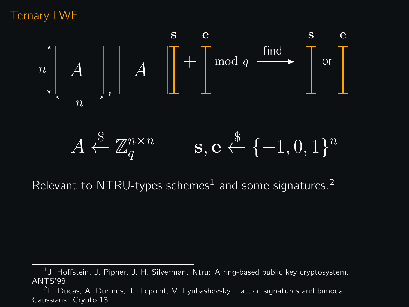### Ternary LWE



Relevant to NTRU-types schemes<sup>1</sup> and some signatures.<sup>2</sup>

 $^1$ J. Hoffstein, J. Pipher, J. H. Silverman. Ntru: A ring-based public key cryptosystem. ANTS'98

 $2L$ . Ducas, A. Durmus, T. Lepoint, V. Lyubashevsky. Lattice signatures and bimodal Gaussians. Crypto'13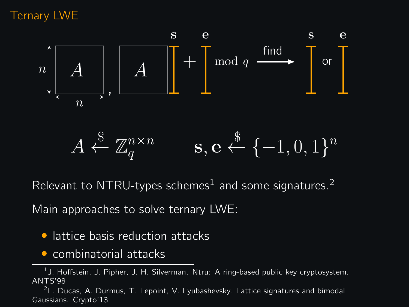# Ternary LWE



Relevant to NTRU-types schemes<sup>1</sup> and some signatures.<sup>2</sup>

Main approaches to solve ternary LWE:

- lattice basis reduction attacks
- combinatorial attacks

 $^1$ J. Hoffstein, J. Pipher, J. H. Silverman. Ntru: A ring-based public key cryptosystem. ANTS'98

 $2L$ . Ducas, A. Durmus, T. Lepoint, V. Lyubashevsky. Lattice signatures and bimodal Gaussians. Crypto'13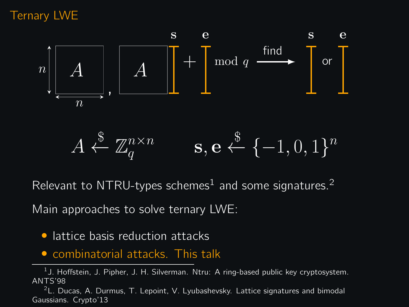# Ternary LWE



Relevant to NTRU-types schemes<sup>1</sup> and some signatures.<sup>2</sup>

Main approaches to solve ternary LWE:

- lattice basis reduction attacks
- combinatorial attacks. This talk

 $^1$ J. Hoffstein, J. Pipher, J. H. Silverman. Ntru: A ring-based public key cryptosystem. ANTS'98

 $2L$ . Ducas, A. Durmus, T. Lepoint, V. Lyubashevsky. Lattice signatures and bimodal Gaussians. Crypto'13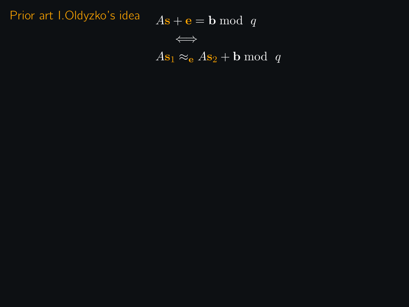Prior art I.Oldyzko's idea  $As + e = b \mod q$ 

$$
\qquad\Longleftrightarrow\qquad
$$

 $As_1 \approx_{\mathbf{e}} As_2 + \mathbf{b} \bmod q$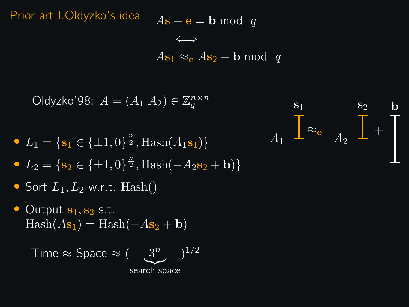Prior art I.Oldyzko's idea  $As + e = b \mod q$ 

⇐⇒  $As_1 \approx_{\mathbf{e}} As_2 + \mathbf{b} \bmod q$ 

Oldyzko'98:  $A = (A_1 | A_2) \in \mathbb{Z}_q^{n \times n}$ 

- $L_1 = \{s_1 \in \{\pm 1, 0\}^{\frac{n}{2}}, \text{Hash}(A_1 s_1)\}\$
- $L_2 = \{s_2 \in \{\pm 1, 0\}^{\frac{n}{2}}, \text{Hash}(-A_2s_2 + \mathbf{b})\}$
- Sort  $L_1, L_2$  w.r.t. Hash()
- Output  $s_1, s_2$  s.t.  $\text{Hash}(A\mathbf{s}_1) = \text{Hash}(-A\mathbf{s}_2 + \mathbf{b})$

Time 
$$
\approx
$$
 Space  $\approx (\underbrace{3^n}_{\text{search space}})^{1/2}$ 

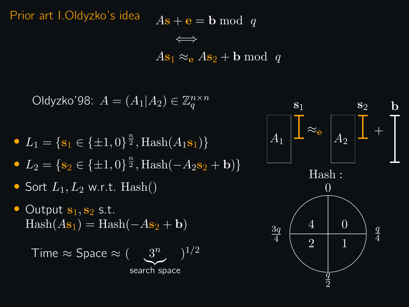Prior art I.Oldyzko's idea  $As + e = b \mod q$ 

⇐⇒  $As_1 \approx_{\mathbf{e}} As_2 + \mathbf{b} \bmod q$ 

Oldyzko'98:  $A = (A_1 | A_2) \in \mathbb{Z}_q^{n \times n}$ 

- $L_1 = \{s_1 \in \{\pm 1, 0\}^{\frac{n}{2}}, \text{Hash}(A_1 s_1)\}\$
- $L_2 = \{s_2 \in \{\pm 1, 0\}^{\frac{n}{2}}, \text{Hash}(-A_2s_2 + \mathbf{b})\}$
- Sort  $L_1, L_2$  w.r.t. Hash()
- Output  $s_1, s_2$  s.t.  $\text{Hash}(A\mathbf{s}_1) = \text{Hash}(-A\mathbf{s}_2 + \mathbf{b})$

Time 
$$
\approx
$$
 Space  $\approx (\underbrace{3^n}_{\text{search space}})^{1/2}$ 

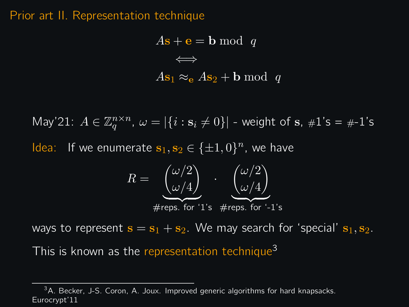#### Prior art II. Representation technique

$$
As + e = b \mod q
$$
  

$$
\iff
$$
  

$$
As_1 \approx_e As_2 + b \mod q
$$

May'21:  $A \in \mathbb{Z}_q^{n \times n}$ ,  $\omega = |\{i : \mathbf{s}_i \neq 0\}|$  - weight of  $\mathbf{s}, \#1\text{'s} = \#1\text{'s}$ Idea: If we enumerate  $s_1, s_2 \in {\pm 1, 0}^n$ , we have

$$
R = \underbrace{\binom{\omega/2}{\omega/4}}_{\text{#reps. for '1's}} \cdot \underbrace{\binom{\omega/2}{\omega/4}}_{\text{#reps. for '-1's}}
$$

ways to represent  $s = s_1 + s_2$ . We may search for 'special'  $s_1, s_2$ . This is known as the representation technique<sup>3</sup>

<sup>&</sup>lt;sup>3</sup>A. Becker, J-S. Coron, A. Joux. Improved generic algorithms for hard knapsacks. Eurocrypt'11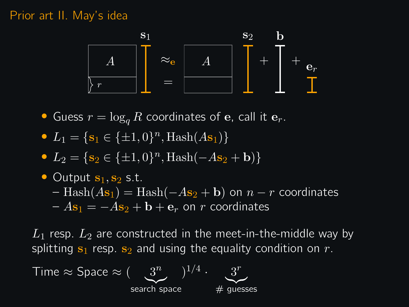#### Prior art II. May's idea



- Guess  $r = \log_a R$  coordinates of e, call it  $e_r$ .
- $L_1 = \{s_1 \in \{\pm 1, 0\}^n, \text{Hash}(A\mathbf{s}_1)\}\$
- $L_2 = \{s_2 \in {\pm 1, 0}\}^n$ ,  $\text{Hash}(-As_2 + \mathbf{b})\}$
- Output  $s_1, s_2$  s.t.  $-$  Hash $(As_1)$  = Hash $(-As_2 + b)$  on  $n - r$  coordinates  $-As_1 = -As_2 + b + e_r$  on r coordinates

 $L_1$  resp.  $L_2$  are constructed in the meet-in-the-middle way by splitting  $s_1$  resp.  $s_2$  and using the equality condition on r.

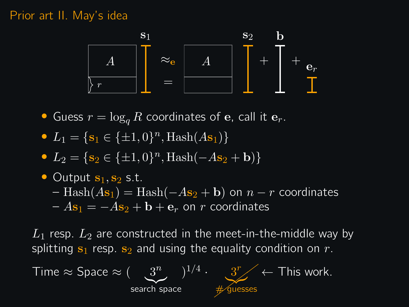#### Prior art II. May's idea



- Guess  $r = \log_a R$  coordinates of e, call it  $e_r$ .
- $L_1 = \{s_1 \in \{\pm 1, 0\}^n, \text{Hash}(A\mathbf{s}_1)\}\$
- $L_2 = \{s_2 \in {\pm 1, 0}\}^n$ ,  $\text{Hash}(-As_2 + \mathbf{b})\}$
- Output  $s_1, s_2$  s.t.  $-$  Hash $(As_1)$  = Hash $(-As_2 + b)$  on  $n - r$  coordinates  $-As_1 = -As_2 + b + e_r$  on r coordinates

 $L_1$  resp.  $L_2$  are constructed in the meet-in-the-middle way by splitting  $s_1$  resp.  $s_2$  and using the equality condition on r.

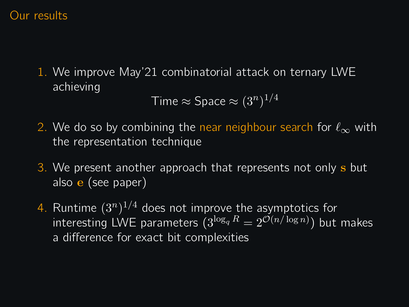### Our results

1. We improve May'21 combinatorial attack on ternary LWE achieving

```
Time \approx Space \approx (3^n)^{1/4}
```
- 2. We do so by combining the near neighbour search for  $\ell_{\infty}$  with the representation technique
- 3. We present another approach that represents not only s but also e (see paper)
- 4. Runtime  $(3^n)^{1/4}$  does not improve the asymptotics for interesting LWE parameters  $(3^{\log_q R} = 2^{\mathcal{O}(n/\log n)})$  but makes a difference for exact bit complexities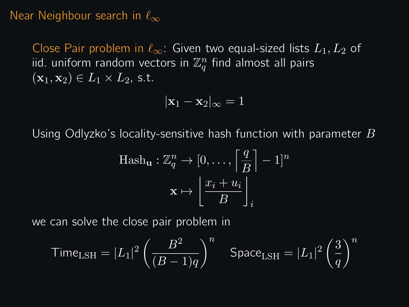#### Near Neighbour search in  $\ell_{\infty}$

Close Pair problem in  $\ell_{\infty}$ : Given two equal-sized lists  $L_1, L_2$  of iid. uniform random vectors in  $\mathbb{Z}_q^n$  find almost all pairs  $(\mathbf{x}_1, \mathbf{x}_2) \in L_1 \times L_2$ , s.t.

$$
|\mathbf{x}_1 - \mathbf{x}_2|_{\infty} = 1
$$

Using Odlyzko's locality-sensitive hash function with parameter  $B$ 

$$
\text{Hash}_{\mathbf{u}} : \mathbb{Z}_q^n \to [0, \dots, \left\lceil \frac{q}{B} \right\rceil - 1]^n
$$

$$
\mathbf{x} \mapsto \left\lfloor \frac{x_i + u_i}{B} \right\rfloor_i
$$

we can solve the close pair problem in

$$
\text{Time}_{\text{LSH}} = |L_1|^2 \left(\frac{B^2}{(B-1)q}\right)^n \quad \text{Space}_{\text{LSH}} = |L_1|^2 \left(\frac{3}{q}\right)^n
$$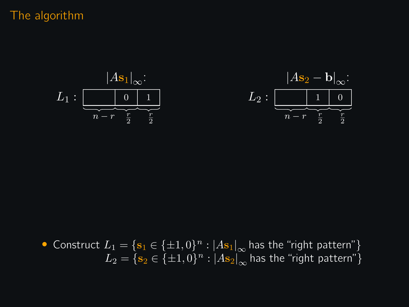# The algorithm



• Construct 
$$
L_1 = \{s_1 \in \{\pm 1, 0\}^n : |As_1|_{\infty} \text{ has the "right pattern" } \}
$$
  $L_2 = \{s_2 \in \{\pm 1, 0\}^n : |As_2|_{\infty} \text{ has the "right pattern" } \}$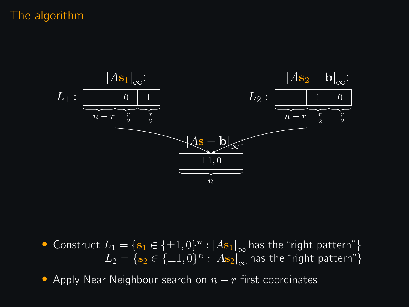### The algorithm



• Construct  $L_1 = \{ \mathbf{s}_1 \in \{\pm 1, 0\}^n : |A\mathbf{s}_1|_{\infty} \text{ has the "right pattern" } \}$  $L_2 = \{ \mathbf{s}_2 \in \{\pm 1, 0\}^n : |A\mathbf{s}_2|_\infty^{\top}$  has the "right pattern"}

• Apply Near Neighbour search on  $n - r$  first coordinates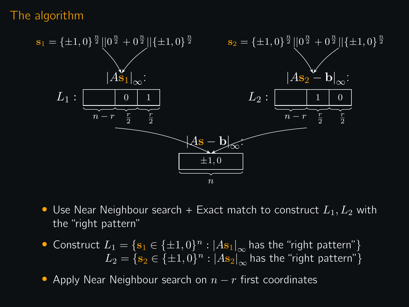### The algorithm



- Use Near Neighbour search + Exact match to construct  $L_1, L_2$  with the "right pattern"
- Construct  $L_1 = \{ \mathbf{s}_1 \in \{\pm 1, 0\}^n : |A\mathbf{s}_1|_{\infty} \text{ has the "right pattern" } \}$  $L_2 = \{ \mathbf{s}_2 \in \{\pm 1, 0\}^n : |A\mathbf{s}_2|_\infty^{\top}$  has the "right pattern"}

• Apply Near Neighbour search on  $n - r$  first coordinates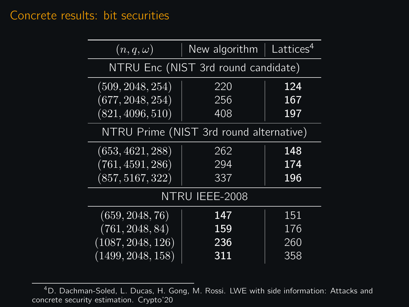# Concrete results: bit securities

| $(n,q,\omega)$                          | New algorithm $ $ Lattices <sup>4</sup> |     |
|-----------------------------------------|-----------------------------------------|-----|
| NTRU Enc (NIST 3rd round candidate)     |                                         |     |
| (509, 2048, 254)                        | 220                                     | 124 |
| (677, 2048, 254)                        | 256                                     | 167 |
| (821, 4096, 510)                        | 408                                     | 197 |
| NTRU Prime (NIST 3rd round alternative) |                                         |     |
| (653, 4621, 288)                        | 262                                     | 148 |
| (761, 4591, 286)                        | 294                                     | 174 |
| (857, 5167, 322)                        | 337                                     | 196 |
| NTRU IEEE-2008                          |                                         |     |
| (659, 2048, 76)                         | 147                                     | 151 |
| (761, 2048, 84)                         | 159                                     | 176 |
| (1087, 2048, 126)                       | 236                                     | 260 |
| (1499, 2048, 158)                       | 311                                     | 358 |

<sup>4</sup>D. Dachman-Soled, L. Ducas, H. Gong, M. Rossi. LWE with side information: Attacks and concrete security estimation. Crypto'20